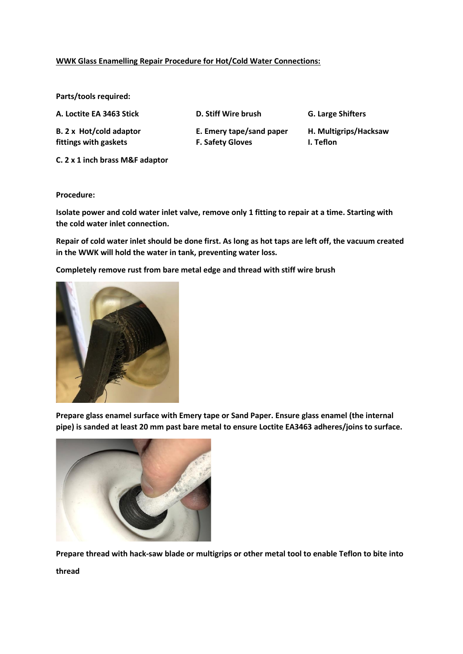## **WWK Glass Enamelling Repair Procedure for Hot/Cold Water Connections:**

**Parts/tools required:** 

**A. Loctite EA 3463 Stick D. Stiff Wire brush G. Large Shifters**

**fittings with gaskets F. Safety Gloves I. Teflon**

**B. 2 x Hot/cold adaptor E. Emery tape/sand paper H. Multigrips/Hacksaw** 

**C. 2 x 1 inch brass M&F adaptor**

**Procedure:**

**Isolate power and cold water inlet valve, remove only 1 fitting to repair at a time. Starting with the cold water inlet connection.**

**Repair of cold water inlet should be done first. As long as hot taps are left off, the vacuum created in the WWK will hold the water in tank, preventing water loss.**

**Completely remove rust from bare metal edge and thread with stiff wire brush**



**Prepare glass enamel surface with Emery tape or Sand Paper. Ensure glass enamel (the internal pipe) is sanded at least 20 mm past bare metal to ensure Loctite EA3463 adheres/joins to surface.** 



**Prepare thread with hack-saw blade or multigrips or other metal tool to enable Teflon to bite into thread**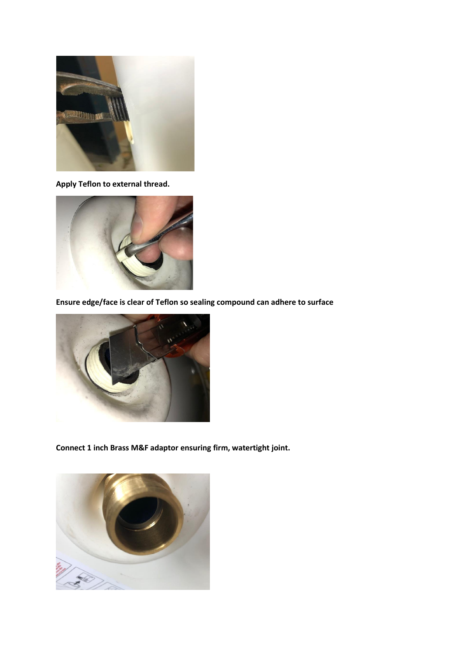

**Apply Teflon to external thread.** 



**Ensure edge/face is clear of Teflon so sealing compound can adhere to surface** 



**Connect 1 inch Brass M&F adaptor ensuring firm, watertight joint.**

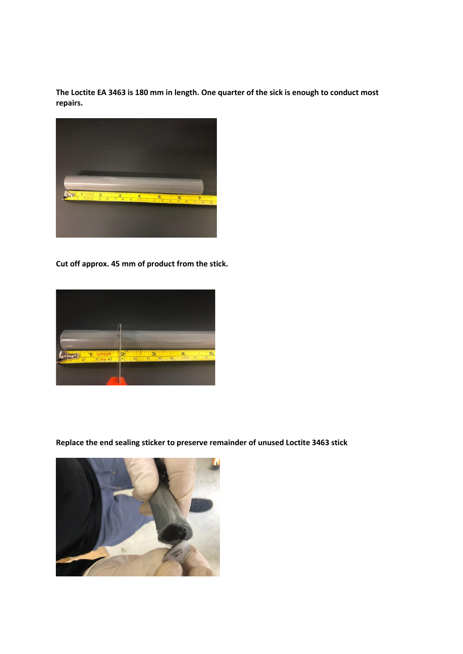**The Loctite EA 3463 is 180 mm in length. One quarter of the sick is enough to conduct most repairs.**



**Cut off approx. 45 mm of product from the stick.** 



**Replace the end sealing sticker to preserve remainder of unused Loctite 3463 stick**

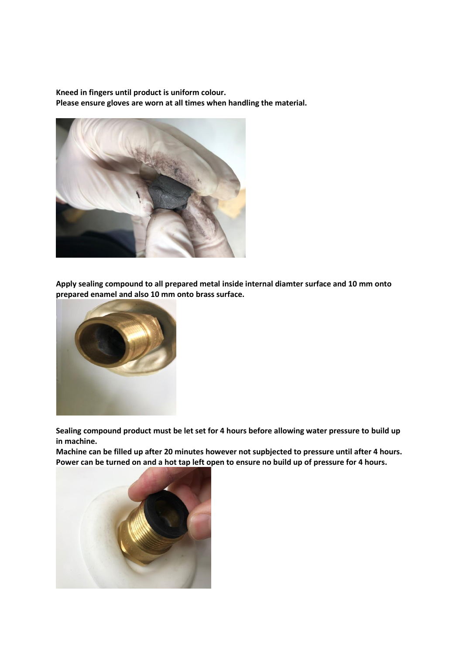**Kneed in fingers until product is uniform colour. Please ensure gloves are worn at all times when handling the material.** 



**Apply sealing compound to all prepared metal inside internal diamter surface and 10 mm onto prepared enamel and also 10 mm onto brass surface.**



**Sealing compound product must be let set for 4 hours before allowing water pressure to build up in machine.** 

**Machine can be filled up after 20 minutes however not supbjected to pressure until after 4 hours. Power can be turned on and a hot tap left open to ensure no build up of pressure for 4 hours.**